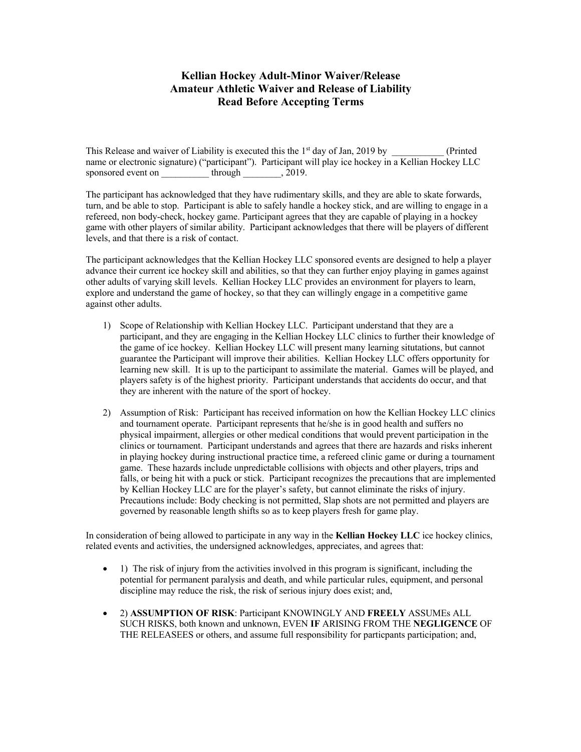## **Kellian Hockey Adult-Minor Waiver/Release Amateur Athletic Waiver and Release of Liability Read Before Accepting Terms**

This Release and waiver of Liability is executed this the 1<sup>st</sup> day of Jan, 2019 by \_\_\_\_\_\_\_\_\_\_\_ (Printed name or electronic signature) ("participant"). Participant will play ice hockey in a Kellian Hockey LLC sponsored event on through  $, 2019$ .

The participant has acknowledged that they have rudimentary skills, and they are able to skate forwards, turn, and be able to stop. Participant is able to safely handle a hockey stick, and are willing to engage in a refereed, non body-check, hockey game. Participant agrees that they are capable of playing in a hockey game with other players of similar ability. Participant acknowledges that there will be players of different levels, and that there is a risk of contact.

The participant acknowledges that the Kellian Hockey LLC sponsored events are designed to help a player advance their current ice hockey skill and abilities, so that they can further enjoy playing in games against other adults of varying skill levels. Kellian Hockey LLC provides an environment for players to learn, explore and understand the game of hockey, so that they can willingly engage in a competitive game against other adults.

- 1) Scope of Relationship with Kellian Hockey LLC. Participant understand that they are a participant, and they are engaging in the Kellian Hockey LLC clinics to further their knowledge of the game of ice hockey. Kellian Hockey LLC will present many learning situtations, but cannot guarantee the Participant will improve their abilities. Kellian Hockey LLC offers opportunity for learning new skill. It is up to the participant to assimilate the material. Games will be played, and players safety is of the highest priority. Participant understands that accidents do occur, and that they are inherent with the nature of the sport of hockey.
- 2) Assumption of Risk: Participant has received information on how the Kellian Hockey LLC clinics and tournament operate. Participant represents that he/she is in good health and suffers no physical impairment, allergies or other medical conditions that would prevent participation in the clinics or tournament. Participant understands and agrees that there are hazards and risks inherent in playing hockey during instructional practice time, a refereed clinic game or during a tournament game. These hazards include unpredictable collisions with objects and other players, trips and falls, or being hit with a puck or stick. Participant recognizes the precautions that are implemented by Kellian Hockey LLC are for the player's safety, but cannot eliminate the risks of injury. Precautions include: Body checking is not permitted, Slap shots are not permitted and players are governed by reasonable length shifts so as to keep players fresh for game play.

In consideration of being allowed to participate in any way in the **Kellian Hockey LLC** ice hockey clinics, related events and activities, the undersigned acknowledges, appreciates, and agrees that:

- 1) The risk of injury from the activities involved in this program is significant, including the potential for permanent paralysis and death, and while particular rules, equipment, and personal discipline may reduce the risk, the risk of serious injury does exist; and,
- 2) **ASSUMPTION OF RISK**: Participant KNOWINGLY AND **FREELY** ASSUMEs ALL SUCH RISKS, both known and unknown, EVEN **IF** ARISING FROM THE **NEGLIGENCE** OF THE RELEASEES or others, and assume full responsibility for particpants participation; and,